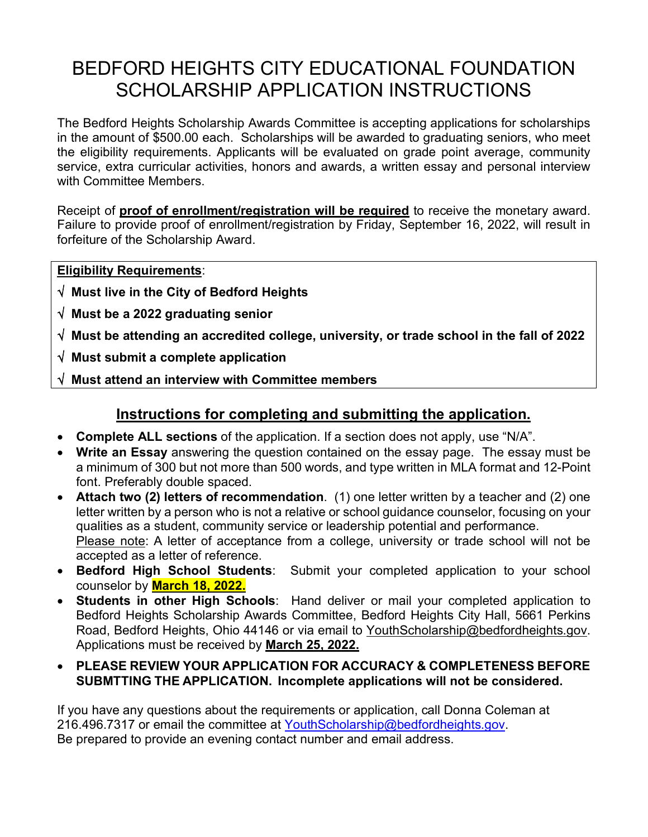# BEDFORD HEIGHTS CITY EDUCATIONAL FOUNDATION SCHOLARSHIP APPLICATION INSTRUCTIONS

The Bedford Heights Scholarship Awards Committee is accepting applications for scholarships in the amount of \$500.00 each. Scholarships will be awarded to graduating seniors, who meet the eligibility requirements. Applicants will be evaluated on grade point average, community service, extra curricular activities, honors and awards, a written essay and personal interview with Committee Members.

Receipt of **proof of enrollment/registration will be required** to receive the monetary award. Failure to provide proof of enrollment/registration by Friday, September 16, 2022, will result in forfeiture of the Scholarship Award.

**Eligibility Requirements**:

- √ **Must live in the City of Bedford Heights**
- √ **Must be a 2022 graduating senior**
- √ **Must be attending an accredited college, university, or trade school in the fall of 2022**
- √ **Must submit a complete application**
- √ **Must attend an interview with Committee members**

### **Instructions for completing and submitting the application.**

- **Complete ALL sections** of the application. If a section does not apply, use "N/A".
- **Write an Essay** answering the question contained on the essay page. The essay must be a minimum of 300 but not more than 500 words, and type written in MLA format and 12-Point font. Preferably double spaced.
- **Attach two (2) letters of recommendation**. (1) one letter written by a teacher and (2) one letter written by a person who is not a relative or school guidance counselor, focusing on your qualities as a student, community service or leadership potential and performance. Please note: A letter of acceptance from a college, university or trade school will not be accepted as a letter of reference.
- **Bedford High School Students**: Submit your completed application to your school counselor by **March 18, 2022.**
- **Students in other High Schools**: Hand deliver or mail your completed application to Bedford Heights Scholarship Awards Committee, Bedford Heights City Hall, 5661 Perkins Road, Bedford Heights, Ohio 44146 or via email to [YouthScholarship@bedfordheights.gov.](mailto:YouthScholarship@bedfordheights.gov) Applications must be received by **March 25, 2022.**
- **PLEASE REVIEW YOUR APPLICATION FOR ACCURACY & COMPLETENESS BEFORE SUBMTTING THE APPLICATION. Incomplete applications will not be considered.**

If you have any questions about the requirements or application, call Donna Coleman at 216.496.7317 or email the committee at [YouthScholarship@bedfordheights.gov.](mailto:YouthScholarship@bedfordheights.gov) Be prepared to provide an evening contact number and email address.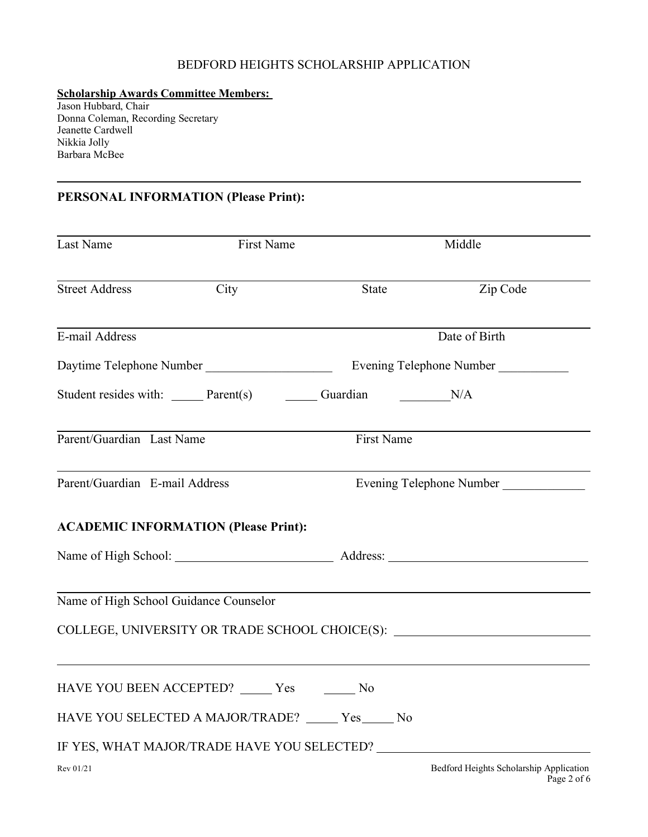#### BEDFORD HEIGHTS SCHOLARSHIP APPLICATION

#### **Scholarship Awards Committee Members:**

Jason Hubbard, Chair Donna Coleman, Recording Secretary Jeanette Cardwell Nikkia Jolly Barbara McBee

1

#### **PERSONAL INFORMATION (Please Print):**

| Last Name                                                                                          | First Name |            | Middle                                                                           |  |
|----------------------------------------------------------------------------------------------------|------------|------------|----------------------------------------------------------------------------------|--|
| <b>Street Address</b>                                                                              | City       | State      | Zip Code                                                                         |  |
| E-mail Address                                                                                     |            |            | Date of Birth                                                                    |  |
|                                                                                                    |            |            |                                                                                  |  |
| Student resides with: _______ Parent(s) _________ Guardian N/A                                     |            |            |                                                                                  |  |
| Parent/Guardian Last Name                                                                          |            | First Name |                                                                                  |  |
| Parent/Guardian E-mail Address                                                                     |            |            | Evening Telephone Number                                                         |  |
| <b>ACADEMIC INFORMATION (Please Print):</b>                                                        |            |            |                                                                                  |  |
|                                                                                                    |            |            |                                                                                  |  |
| Name of High School Guidance Counselor                                                             |            |            | COLLEGE, UNIVERSITY OR TRADE SCHOOL CHOICE(S): _________________________________ |  |
| HAVE YOU BEEN ACCEPTED? ______ Yes ________ No                                                     |            |            |                                                                                  |  |
| HAVE YOU SELECTED A MAJOR/TRADE? _____ Yes _____ No<br>IF YES, WHAT MAJOR/TRADE HAVE YOU SELECTED? |            |            |                                                                                  |  |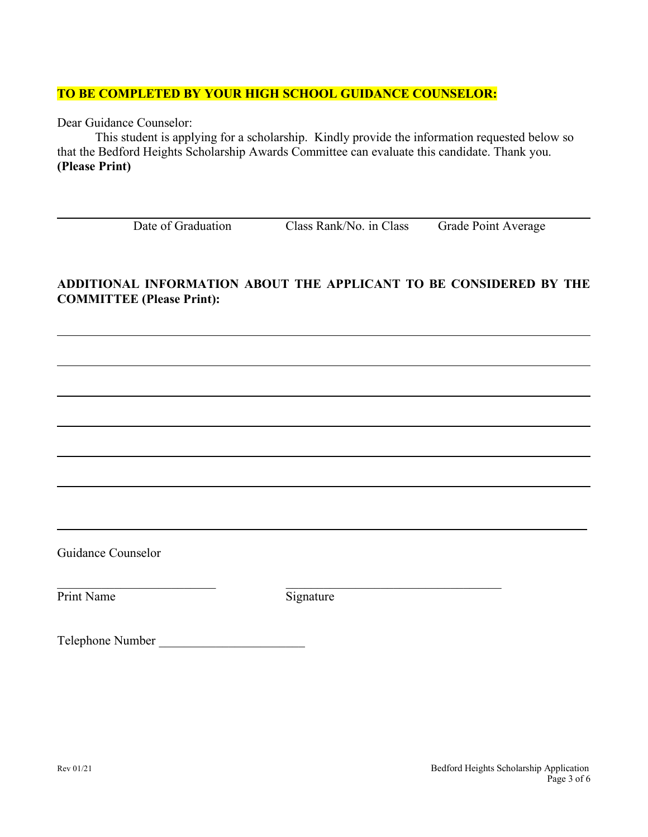#### **TO BE COMPLETED BY YOUR HIGH SCHOOL GUIDANCE COUNSELOR:**

Dear Guidance Counselor:

This student is applying for a scholarship. Kindly provide the information requested below so that the Bedford Heights Scholarship Awards Committee can evaluate this candidate. Thank you. **(Please Print)**

Date of Graduation Class Rank/No. in Class Grade Point Average

#### **ADDITIONAL INFORMATION ABOUT THE APPLICANT TO BE CONSIDERED BY THE COMMITTEE (Please Print):**

Guidance Counselor

Print Name Signature

 $\mathcal{L} = \{ \mathcal{L} \mid \mathcal{L} \in \mathcal{L} \}$  , where  $\mathcal{L} = \{ \mathcal{L} \mid \mathcal{L} \in \mathcal{L} \}$ 

Telephone Number \_\_\_\_\_\_\_\_\_\_\_\_\_\_\_\_\_\_\_\_\_\_\_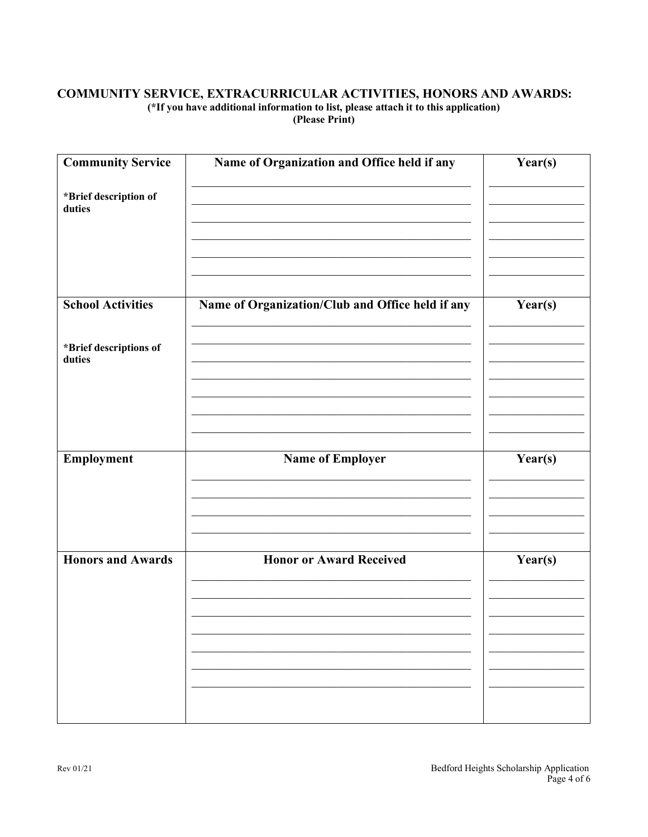#### COMMUNITY SERVICE, EXTRACURRICULAR ACTIVITIES, HONORS AND AWARDS: (\*If you have additional information to list, please attach it to this application) (Please Print)

| <b>Community Service</b>         | Name of Organization and Office held if any      | Year(s) |
|----------------------------------|--------------------------------------------------|---------|
| *Brief description of<br>duties  |                                                  |         |
|                                  |                                                  |         |
| <b>School Activities</b>         | Name of Organization/Club and Office held if any | Year(s) |
| *Brief descriptions of<br>duties |                                                  |         |
|                                  |                                                  |         |
| Employment                       | <b>Name of Employer</b>                          | Year(s) |
|                                  |                                                  |         |
| <b>Honors and Awards</b>         | <b>Honor or Award Received</b>                   | Year(s) |
|                                  |                                                  |         |
|                                  |                                                  |         |
|                                  |                                                  |         |
|                                  |                                                  |         |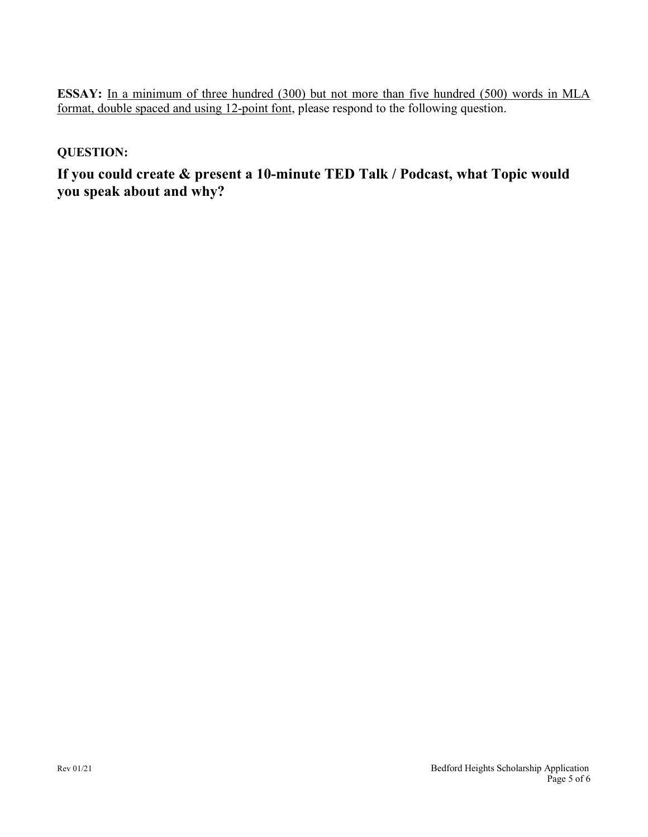**ESSAY:** In a minimum of three hundred (300) but not more than five hundred (500) words in MLA format, double spaced and using 12-point font, please respond to the following question.

#### **QUESTION:**

**If you could create & present a 10-minute TED Talk / Podcast, what Topic would you speak about and why?**